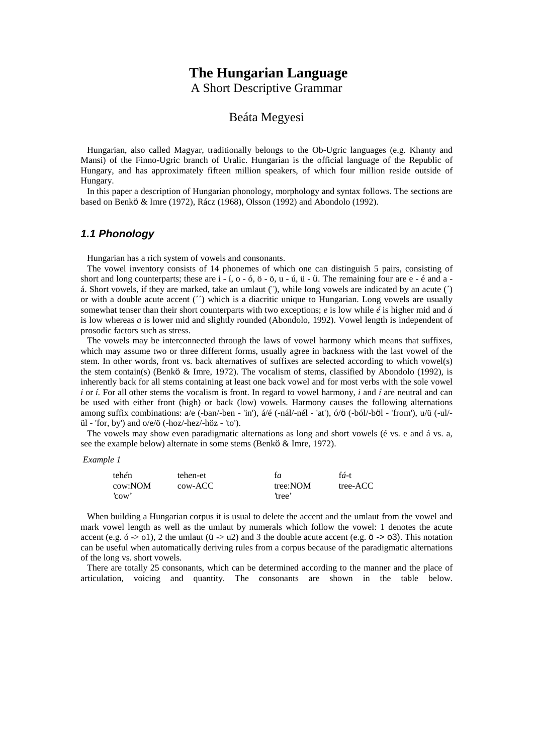# **The Hungarian Language**

A Short Descriptive Grammar

# Beáta Megyesi

Hungarian, also called Magyar, traditionally belongs to the Ob-Ugric languages (e.g. Khanty and Mansi) of the Finno-Ugric branch of Uralic. Hungarian is the official language of the Republic of Hungary, and has approximately fifteen million speakers, of which four million reside outside of Hungary.

In this paper a description of Hungarian phonology, morphology and syntax follows. The sections are based on Benkö & Imre (1972), Rácz (1968), Olsson (1992) and Abondolo (1992).

## **1.1 Phonology**

Hungarian has a rich system of vowels and consonants.

The vowel inventory consists of 14 phonemes of which one can distinguish 5 pairs, consisting of short and long counterparts; these are  $i - i$ ,  $o - 6$ ,  $\ddot{o} - \ddot{o}$ ,  $u - \ddot{u}$ ,  $\ddot{u} - \ddot{u}$ . The remaining four are e - é and a á. Short vowels, if they are marked, take an umlaut (¨), while long vowels are indicated by an acute (´) or with a double acute accent (´´) which is a diacritic unique to Hungarian. Long vowels are usually somewhat tenser than their short counterparts with two exceptions; *e* is low while *é* is higher mid and *á* is low whereas *a* is lower mid and slightly rounded (Abondolo, 1992). Vowel length is independent of prosodic factors such as stress.

The vowels may be interconnected through the laws of vowel harmony which means that suffixes, which may assume two or three different forms, usually agree in backness with the last vowel of the stem. In other words, front vs. back alternatives of suffixes are selected according to which vowel(s) the stem contain(s) (Benkö & Imre, 1972). The vocalism of stems, classified by Abondolo (1992), is inherently back for all stems containing at least one back vowel and for most verbs with the sole vowel *i* or *í.* For all other stems the vocalism is front. In regard to vowel harmony, *i* and *í* are neutral and can be used with either front (high) or back (low) vowels. Harmony causes the following alternations among suffix combinations: a/e (-ban/-ben - 'in'), á/é (-nál/-nél - 'at'), ó/ö (-ból/-böl - 'from'), u/ü (-ul/ ül - 'for, by') and o/e/ö (-hoz/-hez/-höz - 'to').

The vowels may show even paradigmatic alternations as long and short vowels (é vs. e and á vs. a, see the example below) alternate in some stems (Benkö & Imre, 1972).

*Example 1*

| tehén   | tehen-et | fа       | fá-t     |
|---------|----------|----------|----------|
| cow:NOM | cow-ACC  | tree:NOM | tree-ACC |
| 'cow'   |          | 'tree'   |          |

When building a Hungarian corpus it is usual to delete the accent and the umlaut from the vowel and mark vowel length as well as the umlaut by numerals which follow the vowel: 1 denotes the acute accent (e.g.  $6 \rightarrow 01$ ), 2 the umlaut ( $\ddot{u} \rightarrow u2$ ) and 3 the double acute accent (e.g.  $\ddot{o} \rightarrow 03$ ). This notation can be useful when automatically deriving rules from a corpus because of the paradigmatic alternations of the long vs. short vowels.

There are totally 25 consonants, which can be determined according to the manner and the place of articulation, voicing and quantity. The consonants are shown in the table below.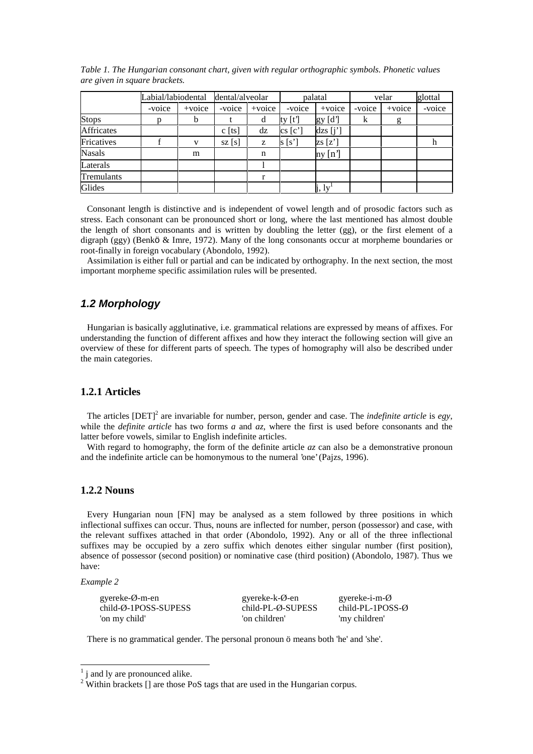|                   | Labial/labiodental |        | dental/alveolar |           |                                | palatal |        | velar  | glottal |
|-------------------|--------------------|--------|-----------------|-----------|--------------------------------|---------|--------|--------|---------|
|                   | -voice             | +voice | -voice          | $+$ voice | -voice                         | +voice  | -voice | +voice | -voice  |
| <b>Stops</b>      |                    | b      |                 | d         | ty [t']                        | gy [d'] | k      | g      |         |
| <b>Affricates</b> |                    |        | $c$ [ts]        | dz        | $\text{cs}[\text{c}^{\prime}]$ | dzs[j'] |        |        |         |
| Fricatives        |                    | v      | sz [s]          | Z         | s [s']                         | zs [z'] |        |        |         |
| <b>Nasals</b>     |                    | m      |                 | n         |                                | ny[n]   |        |        |         |
| Laterals          |                    |        |                 |           |                                |         |        |        |         |
| Tremulants        |                    |        |                 | r         |                                |         |        |        |         |
| Glides            |                    |        |                 |           |                                | j, ly   |        |        |         |

*Table 1. The Hungarian consonant chart, given with regular orthographic symbols. Phonetic values are given in square brackets.*

Consonant length is distinctive and is independent of vowel length and of prosodic factors such as stress. Each consonant can be pronounced short or long, where the last mentioned has almost double the length of short consonants and is written by doubling the letter (gg), or the first element of a digraph (ggy) (Benkö & Imre, 1972). Many of the long consonants occur at morpheme boundaries or root-finally in foreign vocabulary (Abondolo, 1992).

Assimilation is either full or partial and can be indicated by orthography. In the next section, the most important morpheme specific assimilation rules will be presented.

## **1.2 Morphology**

Hungarian is basically agglutinative, i.e. grammatical relations are expressed by means of affixes. For understanding the function of different affixes and how they interact the following section will give an overview of these for different parts of speech. The types of homography will also be described under the main categories.

## **1.2.1 Articles**

The articles [DET] 2 are invariable for number, person, gender and case. The *indefinite article* is *egy*, while the *definite article* has two forms *a* and *az*, where the first is used before consonants and the latter before vowels, similar to English indefinite articles.

With regard to homography, the form of the definite article *az* can also be a demonstrative pronoun and the indefinite article can be homonymous to the numeral 'one'(Pajzs, 1996).

## **1.2.2 Nouns**

Every Hungarian noun [FN] may be analysed as a stem followed by three positions in which inflectional suffixes can occur. Thus, nouns are inflected for number, person (possessor) and case, with the relevant suffixes attached in that order (Abondolo, 1992). Any or all of the three inflectional suffixes may be occupied by a zero suffix which denotes either singular number (first position), absence of possessor (second position) or nominative case (third position) (Abondolo, 1987). Thus we have:

*Example 2*

 $\overline{a}$ 

gyereke-Ø-m-en gyereke-k-Ø-en gyereke-i-m-Ø child-Ø-1POSS-SUPESS child-PL-Ø-SUPESS child-PL-1POSS-Ø 'on my child' 'on children' 'my children'

There is no grammatical gender. The personal pronoun ö means both 'he' and 'she'.

 $<sup>1</sup>$  j and ly are pronounced alike.</sup>

<sup>&</sup>lt;sup>2</sup> Within brackets  $\lceil$  are those PoS tags that are used in the Hungarian corpus.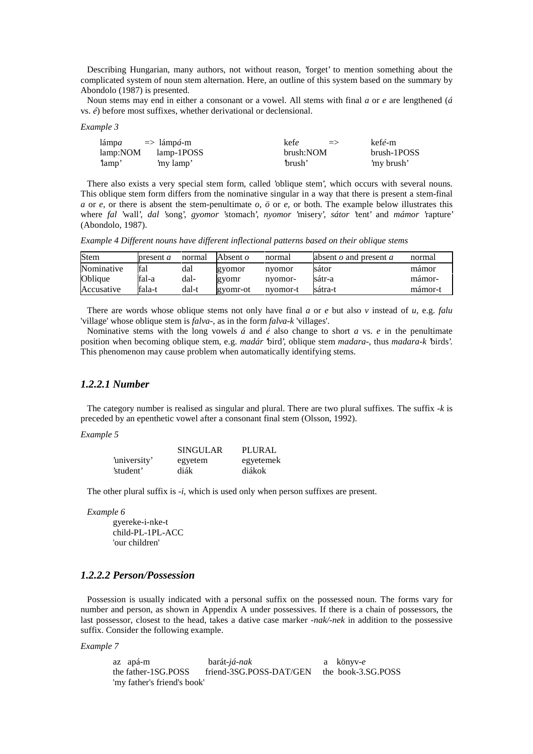Describing Hungarian, many authors, not without reason, 'forget' to mention something about the complicated system of noun stem alternation. Here, an outline of this system based on the summary by Abondolo (1987) is presented.

Noun stems may end in either a consonant or a vowel. All stems with final *a* or *e* are lengthened (*á* vs. *é*) before most suffixes, whether derivational or declensional.

*Example 3*

| lámpa    | $\Rightarrow$ lámp <i>á</i> -m | kef <i>e</i><br>$\Rightarrow$ | kef <i>é</i> -m |
|----------|--------------------------------|-------------------------------|-----------------|
| lamp:NOM | lamp-1POSS                     | brush:NOM                     | brush-1POSS     |
| 'lamp'   | 'my lamp'                      | brush'                        | 'my brush'      |

There also exists a very special stem form, called 'oblique stem', which occurs with several nouns. This oblique stem form differs from the nominative singular in a way that there is present a stem-final *a* or *e*, or there is absent the stem-penultimate *o*, *ö* or *e*, or both. The example below illustrates this where *fal* 'wall', *dal* 'song', *gyomor* 'stomach', *nyomor* 'misery', *sátor* 'tent' and *mámor* 'rapture' (Abondolo, 1987).

*Example 4 Different nouns have different inflectional patterns based on their oblique stems*

| Stem       | present <i>a</i> | normal | Absent $\rho$ | normal   | absent $\sigma$ and present $\alpha$ | normal  |
|------------|------------------|--------|---------------|----------|--------------------------------------|---------|
| Nominative | <b>f</b> al      | dal    | gyomor        | nvomor   | sátor                                | mámor   |
| Oblique    | fal-a            | dal-   | gyomr         | nvomor-  | sátr-a                               | mámor-  |
| Accusative | fala-t           | dal-t  | gyomr-ot      | nvomor-t | sátra-t                              | mámor-t |

There are words whose oblique stems not only have final *a* or *e* but also *v* instead of *u*, e.g. *falu* 'village' whose oblique stem is *falva*-, as in the form *falva-k* 'villages'.

Nominative stems with the long vowels *á* and *é* also change to short *a* vs. *e* in the penultimate position when becoming oblique stem, e.g. *madár* 'bird', oblique stem *madara*-, thus *madara-k* 'birds'. This phenomenon may cause problem when automatically identifying stems.

### *1.2.2.1 Number*

The category number is realised as singular and plural. There are two plural suffixes. The suffix -k is preceded by an epenthetic vowel after a consonant final stem (Olsson, 1992).

### *Example 5*

|              | <b>SINGULAR</b> | PLURAL    |
|--------------|-----------------|-----------|
| 'university' | egyetem         | egyetemek |
| 'student'    | diák            | diákok    |

The other plural suffix is *-i*, which is used only when person suffixes are present.

*Example 6*

gyereke-i-nke-t child-PL-1PL-ACC 'our children'

## *1.2.2.2 Person/Possession*

Possession is usually indicated with a personal suffix on the possessed noun. The forms vary for number and person, as shown in Appendix A under possessives. If there is a chain of possessors, the last possessor, closest to the head, takes a dative case marker *-nak/-nek* in addition to the possessive suffix. Consider the following example.

### *Example 7*

| az apá-m                    | barát-j <i>á-nak</i>                       | a könyv-e |
|-----------------------------|--------------------------------------------|-----------|
| the father-1SG.POSS         | friend-3SG.POSS-DAT/GEN the book-3.SG.POSS |           |
| 'my father's friend's book' |                                            |           |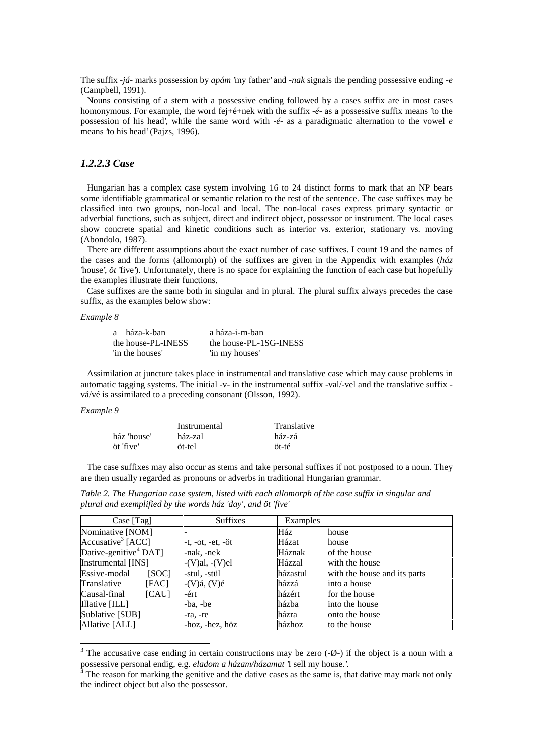The suffix -*já*- marks possession by *apám* 'my father'and *-nak* signals the pending possessive ending *-e* (Campbell, 1991).

Nouns consisting of a stem with a possessive ending followed by a cases suffix are in most cases homonymous. For example, the word fej+é+nek with the suffix -*é-* as a possessive suffix means 'to the possession of his head', while the same word with -*é*- as a paradigmatic alternation to the vowel *e* means 'to his head'(Pajzs, 1996).

## *1.2.2.3 Case*

Hungarian has a complex case system involving 16 to 24 distinct forms to mark that an NP bears some identifiable grammatical or semantic relation to the rest of the sentence. The case suffixes may be classified into two groups, non-local and local. The non-local cases express primary syntactic or adverbial functions, such as subject, direct and indirect object, possessor or instrument. The local cases show concrete spatial and kinetic conditions such as interior vs. exterior, stationary vs. moving (Abondolo, 1987).

There are different assumptions about the exact number of case suffixes. I count 19 and the names of the cases and the forms (allomorph) of the suffixes are given in the Appendix with examples (*ház* 'house', *öt* 'five'). Unfortunately, there is no space for explaining the function of each case but hopefully the examples illustrate their functions.

Case suffixes are the same both in singular and in plural. The plural suffix always precedes the case suffix, as the examples below show:

#### *Example 8*

| a háza-k-ban        | a háza-i-m-ban         |
|---------------------|------------------------|
| the house-PL-INESS- | the house-PL-1SG-INESS |
| 'in the houses'     | 'in my houses'         |

Assimilation at juncture takes place in instrumental and translative case which may cause problems in automatic tagging systems. The initial -v- in the instrumental suffix -val/-vel and the translative suffix vá/vé is assimilated to a preceding consonant (Olsson, 1992).

#### *Example 9*

 $\overline{a}$ 

|             | Instrumental | Translative |
|-------------|--------------|-------------|
| ház 'house' | ház-zal      | ház-zá      |
| öt 'five'   | öt-tel       | öt-té       |

The case suffixes may also occur as stems and take personal suffixes if not postposed to a noun. They are then usually regarded as pronouns or adverbs in traditional Hungarian grammar.

*Table 2. The Hungarian case system, listed with each allomorph of the case suffix in singular and plural and exemplified by the words ház 'day', and öt 'five'*

| Case [Tag]                        |              | Suffixes                         | Examples |                              |
|-----------------------------------|--------------|----------------------------------|----------|------------------------------|
| Nominative [NOM]                  |              |                                  | Ház      | house                        |
| Accusative <sup>3</sup> [ACC]     |              | -t, -ot, -et, -öt                | Házat    | house                        |
| Dative-genitive <sup>4</sup> DAT] |              | -nak, -nek                       | Háznak   | of the house                 |
| Instrumental [INS]                |              | $-(V)al, -(V)el$                 | Házzal   | with the house               |
| Essive-modal                      | [SOC]        | -stul, -stül                     | házastul | with the house and its parts |
| Translative                       | [FAC]        | $-(V)\acute{a}$ , $(V)\acute{e}$ | házzá    | into a house                 |
| Causal-final                      | <b>[CAU]</b> | -ért                             | házért   | for the house                |
| Illative [ILL]                    |              | -ba, -be                         | házba    | into the house               |
| Sublative [SUB]                   |              | -ra, -re                         | házra    | onto the house               |
| Allative [ALL]                    |              | -hoz, -hez, höz                  | házhoz   | to the house                 |

 $3$  The accusative case ending in certain constructions may be zero  $(-\emptyset)$  if the object is a noun with a possessive personal endig, e.g. *eladom a házam/házamat* 'I sell my house.'.

<sup>&</sup>lt;sup>4</sup> The reason for marking the genitive and the dative cases as the same is, that dative may mark not only the indirect object but also the possessor.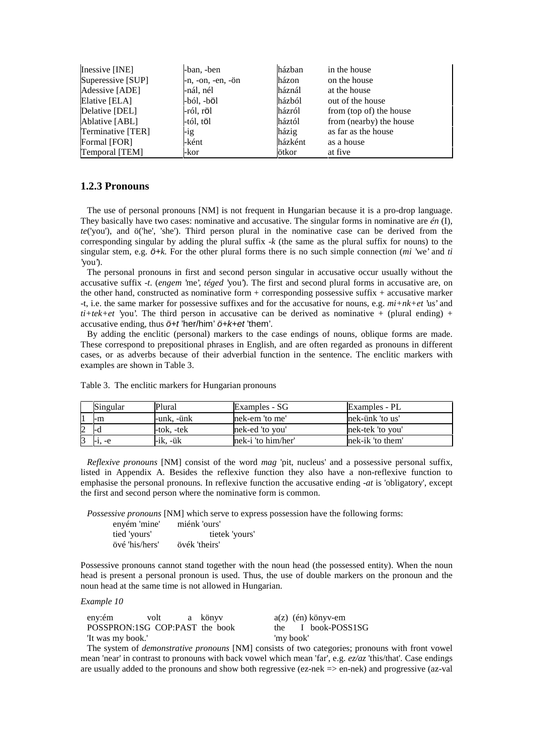| Inessive [INE]    | -ban, -ben                   | házban  | in the house            |
|-------------------|------------------------------|---------|-------------------------|
| Superessive [SUP] | $-n$ , $-on$ , $-en$ , $-ön$ | házon   | on the house            |
| Adessive [ADE]    | -nál, nél                    | háznál  | at the house            |
| Elative [ELA]     | -ból, -böl                   | házból  | out of the house        |
| Delative [DEL]    | -ról, röl                    | házról  | from (top of) the house |
| Ablative [ABL]    | -tól, töl                    | háztól  | from (nearby) the house |
| Terminative [TER] | $-ig$                        | házig   | as far as the house     |
| Formal [FOR]      | -ként                        | házként | as a house              |
| Temporal [TEM]    | -kor                         | ötkor   | at five                 |

## **1.2.3 Pronouns**

The use of personal pronouns [NM] is not frequent in Hungarian because it is a pro-drop language. They basically have two cases: nominative and accusative. The singular forms in nominative are *én* (I), *te*('you'), and ö('he', 'she'). Third person plural in the nominative case can be derived from the corresponding singular by adding the plural suffix -*k* (the same as the plural suffix for nouns) to the singular stem, e.g. ö+*k.* For the other plural forms there is no such simple connection (*mi* 'we' and *ti* 'you').

The personal pronouns in first and second person singular in accusative occur usually without the accusative suffix -*t*. (*engem* 'me', *téged* 'you'). The first and second plural forms in accusative are, on the other hand, constructed as nominative form + corresponding possessive suffix + accusative marker -t, i.e. the same marker for possessive suffixes and for the accusative for nouns, e.g. *mi+nk+et* 'us' and  $t\hat{i}+te\hat{k}+et$  'you'. The third person in accusative can be derived as nominative  $\hat{i}$  (plural ending)  $\hat{j}$ accusative ending, thus ö+t 'her/him' ö+k+et 'them'.

By adding the enclitic (personal) markers to the case endings of nouns, oblique forms are made. These correspond to prepositional phrases in English, and are often regarded as pronouns in different cases, or as adverbs because of their adverbial function in the sentence. The enclitic markers with examples are shown in Table 3.

|   | Singular | Plural     | Examples - SG      | Examples - PL    |
|---|----------|------------|--------------------|------------------|
|   | ŀm       | -unk. -ünk | nek-em 'to me'     | nek-ünk 'to us'  |
| 2 |          | -tok. -tek | nek-ed 'to you'    | nek-tek 'to you' |
| ь |          | -ik. -ük   | nek-i 'to him/her' | nek-ik 'to them' |

Table 3. The enclitic markers for Hungarian pronouns

*Reflexive pronouns* [NM] consist of the word *mag* 'pit, nucleus' and a possessive personal suffix, listed in Appendix A. Besides the reflexive function they also have a non-reflexive function to emphasise the personal pronouns. In reflexive function the accusative ending -*at* is 'obligatory', except the first and second person where the nominative form is common.

*Possessive pronouns* [NM] which serve to express possession have the following forms:

| enyém 'mine'   | miénk 'ours'   |
|----------------|----------------|
| tied 'yours'   | tietek 'yours' |
| övé 'his/hers' | övék 'theirs'  |

Possessive pronouns cannot stand together with the noun head (the possessed entity). When the noun head is present a personal pronoun is used. Thus, the use of double markers on the pronoun and the noun head at the same time is not allowed in Hungarian.

### *Example 10*

| eny:ém                         | volt | a könvv |           | $a(z)$ (én) könyv-em |
|--------------------------------|------|---------|-----------|----------------------|
| POSSPRON:1SG COP:PAST the book |      |         |           | the I book-POSS1SG   |
| 'It was my book.'              |      |         | 'my book' |                      |

The system of *demonstrative pronouns* [NM] consists of two categories; pronouns with front vowel mean 'near' in contrast to pronouns with back vowel which mean 'far', e.g. *ez/az* 'this/that'. Case endings are usually added to the pronouns and show both regressive (ez-nek  $\equiv$  > en-nek) and progressive (az-val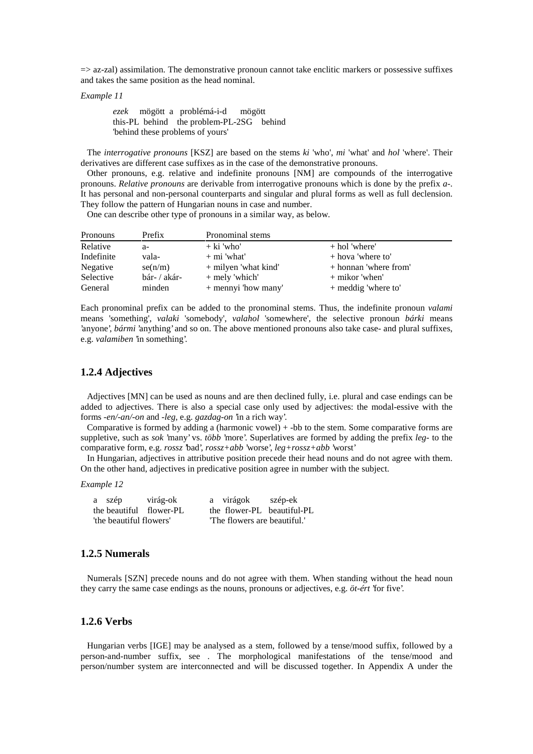$\Rightarrow$  az-zal) assimilation. The demonstrative pronoun cannot take enclitic markers or possessive suffixes and takes the same position as the head nominal.

*Example 11*

*ezek* mögött a problémá-i-d mögött this-PL behind the problem-PL-2SG behind 'behind these problems of yours'

The *interrogative pronouns* [KSZ] are based on the stems *ki* 'who', *mi* 'what' and *hol* 'where'. Their derivatives are different case suffixes as in the case of the demonstrative pronouns.

Other pronouns, e.g. relative and indefinite pronouns [NM] are compounds of the interrogative pronouns. *Relative pronouns* are derivable from interrogative pronouns which is done by the prefix *a*-. It has personal and non-personal counterparts and singular and plural forms as well as full declension. They follow the pattern of Hungarian nouns in case and number.

One can describe other type of pronouns in a similar way, as below.

| Pronouns   | Prefix       | Pronominal stems     |                         |
|------------|--------------|----------------------|-------------------------|
| Relative   | a-           | $+$ ki 'who'         | $+$ hol 'where'         |
| Indefinite | vala-        | $+$ mi 'what'        | $+$ hova 'where to'     |
| Negative   | se(n/m)      | + milyen 'what kind' | $+$ honnan 'where from' |
| Selective  | bár- / akár- | + mely 'which'       | $+$ mikor 'when'        |
| General    | minden       | + mennyi 'how many'  | + meddig 'where to'     |

Each pronominal prefix can be added to the pronominal stems. Thus, the indefinite pronoun *valami* means 'something', *valaki* 'somebody', *valahol* 'somewhere', the selective pronoun *bárki* means 'anyone', *bármi* 'anything'and so on. The above mentioned pronouns also take case- and plural suffixes, e.g. *valamiben* 'in something'.

### **1.2.4 Adjectives**

Adjectives [MN] can be used as nouns and are then declined fully, i.e. plural and case endings can be added to adjectives. There is also a special case only used by adjectives: the modal-essive with the forms *-en/-an/-on* and *-leg,* e.g. *gazdag-on* 'in a rich way'.

Comparative is formed by adding a (harmonic vowel)  $+$ -bb to the stem. Some comparative forms are suppletive, such as *sok* 'many' vs. *több* 'more'. Superlatives are formed by adding the prefix *leg-* to the comparative form, e.g. *rossz* 'bad', *rossz+abb* 'worse', *leg+rossz+abb* 'worst'

In Hungarian, adjectives in attributive position precede their head nouns and do not agree with them. On the other hand, adjectives in predicative position agree in number with the subject.

### *Example 12*

| a szép                  | virág-ok | a virágok                    | szép-ek                    |
|-------------------------|----------|------------------------------|----------------------------|
| the beautiful flower-PL |          |                              | the flower-PL beautiful-PL |
| 'the beautiful flowers' |          | "The flowers are beautiful." |                            |

## **1.2.5 Numerals**

Numerals [SZN] precede nouns and do not agree with them. When standing without the head noun they carry the same case endings as the nouns, pronouns or adjectives, e.g. *öt-ért* 'for five'.

## **1.2.6 Verbs**

Hungarian verbs [IGE] may be analysed as a stem, followed by a tense/mood suffix, followed by a person-and-number suffix, see . The morphological manifestations of the tense/mood and person/number system are interconnected and will be discussed together. In Appendix A under the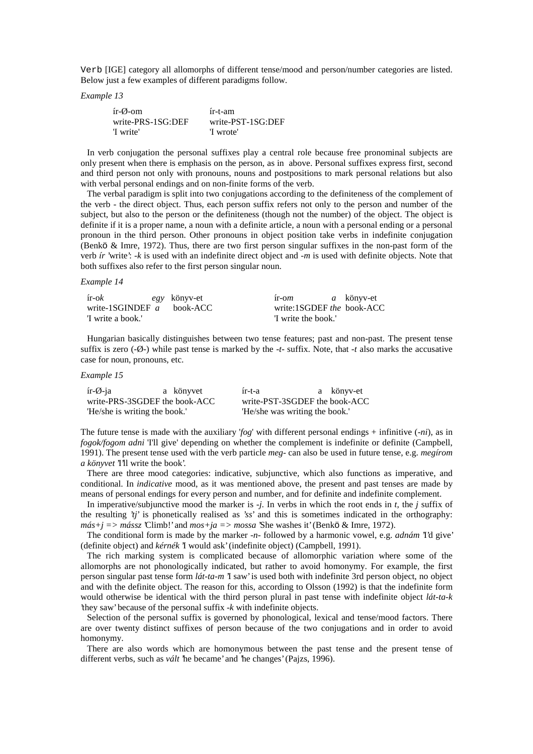Verb [IGE] category all allomorphs of different tense/mood and person/number categories are listed. Below just a few examples of different paradigms follow.

*Example 13*

| $ir-\emptyset-om$ | $ir-t-am$         |
|-------------------|-------------------|
| write-PRS-1SG:DEF | write-PST-1SG:DEF |
| 'I write'         | 'I wrote'         |

In verb conjugation the personal suffixes play a central role because free pronominal subjects are only present when there is emphasis on the person, as in above. Personal suffixes express first, second and third person not only with pronouns, nouns and postpositions to mark personal relations but also with verbal personal endings and on non-finite forms of the verb.

The verbal paradigm is split into two conjugations according to the definiteness of the complement of the verb - the direct object. Thus, each person suffix refers not only to the person and number of the subject, but also to the person or the definiteness (though not the number) of the object. The object is definite if it is a proper name, a noun with a definite article, a noun with a personal ending or a personal pronoun in the third person. Other pronouns in object position take verbs in indefinite conjugation (Benkö & Imre, 1972). Thus, there are two first person singular suffixes in the non-past form of the verb *ír* 'write': *-k* is used with an indefinite direct object and *-m* is used with definite objects. Note that both suffixes also refer to the first person singular noun.

#### *Example 14*

| $ir-ok$                     | egy könyv-et | $if$ - $\alpha$ m         | <i>a</i> könyv-et |
|-----------------------------|--------------|---------------------------|-------------------|
| write-1SGINDEF $a$ book-ACC |              | write:1SGDEF the book-ACC |                   |
| 'I write a book.'           |              | "I write the book."       |                   |

Hungarian basically distinguishes between two tense features; past and non-past. The present tense suffix is zero (-Ø-) while past tense is marked by the -*t*- suffix. Note, that *-t* also marks the accusative case for noun, pronouns, etc.

*Example 15*

| $ir-Ø-ia$                     | a könyvet | ír-t-a                         | a könyv-et |
|-------------------------------|-----------|--------------------------------|------------|
| write-PRS-3SGDEF the book-ACC |           | write-PST-3SGDEF the book-ACC  |            |
| 'He/she is writing the book.' |           | 'He/she was writing the book.' |            |

The future tense is made with the auxiliary '*fog*' with different personal endings + infinitive  $(-ni)$ , as in *fogok/fogom adni* Tll give' depending on whether the complement is indefinite or definite (Campbell, 1991). The present tense used with the verb particle *meg*- can also be used in future tense, e.g. *megírom a könyvet* 'I'll write the book'.

There are three mood categories: indicative, subjunctive, which also functions as imperative, and conditional. In *indicative* mood, as it was mentioned above, the present and past tenses are made by means of personal endings for every person and number, and for definite and indefinite complement.

In imperative/subjunctive mood the marker is -*j*. In verbs in which the root ends in *t*, the *j* suffix of the resulting '*tj*' is phonetically realised as '*ss*' and this is sometimes indicated in the orthography:  $m\acute{a}s+i \geq m\acute{a}s$ sz 'Climb!' and  $mos+ia \geq m\acute{a}s$  'She washes it' (Benkö & Imre, 1972).

The conditional form is made by the marker -*n*- followed by a harmonic vowel, e.g. *adnám* 'I'd give' (definite object) and *kérnék* 'I would ask'(indefinite object) (Campbell, 1991).

The rich marking system is complicated because of allomorphic variation where some of the allomorphs are not phonologically indicated, but rather to avoid homonymy. For example, the first person singular past tense form *lát-ta-m* 'I saw'is used both with indefinite 3rd person object, no object and with the definite object. The reason for this, according to Olsson (1992) is that the indefinite form would otherwise be identical with the third person plural in past tense with indefinite object *lát-ta-k* 'they saw'because of the personal suffix -*k* with indefinite objects.

Selection of the personal suffix is governed by phonological, lexical and tense/mood factors. There are over twenty distinct suffixes of person because of the two conjugations and in order to avoid homonymy.

There are also words which are homonymous between the past tense and the present tense of different verbs, such as *vált* 'he became'and 'he changes'(Pajzs, 1996).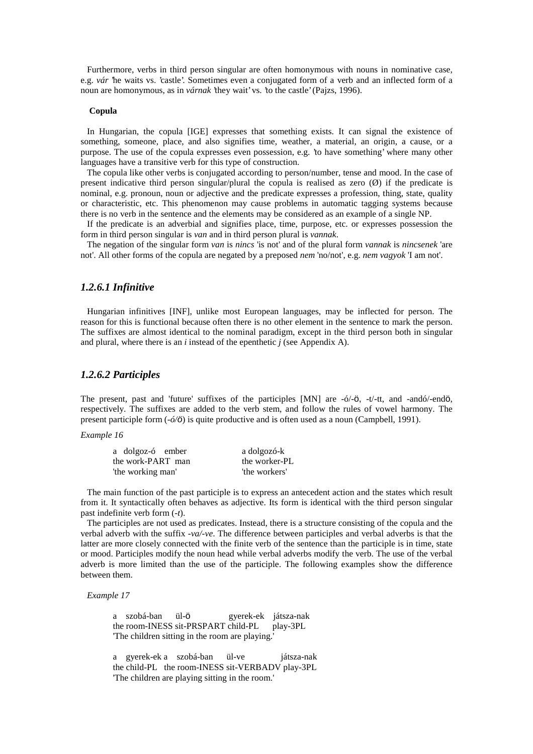Furthermore, verbs in third person singular are often homonymous with nouns in nominative case, e.g. *vár* 'he waits vs. 'castle'. Sometimes even a conjugated form of a verb and an inflected form of a noun are homonymous, as in *várnak* 'they wait'vs. 'to the castle'(Pajzs, 1996).

#### **Copula**

In Hungarian, the copula [IGE] expresses that something exists. It can signal the existence of something, someone, place, and also signifies time, weather, a material, an origin, a cause, or a purpose. The use of the copula expresses even possession, e.g. 'to have something' where many other languages have a transitive verb for this type of construction.

The copula like other verbs is conjugated according to person/number, tense and mood. In the case of present indicative third person singular/plural the copula is realised as zero  $(\emptyset)$  if the predicate is nominal, e.g. pronoun, noun or adjective and the predicate expresses a profession, thing, state, quality or characteristic, etc. This phenomenon may cause problems in automatic tagging systems because there is no verb in the sentence and the elements may be considered as an example of a single NP.

If the predicate is an adverbial and signifies place, time, purpose, etc. or expresses possession the form in third person singular is *van* and in third person plural is *vannak*.

The negation of the singular form *van* is *nincs* 'is not' and of the plural form *vannak* is *nincsenek* 'are not'. All other forms of the copula are negated by a preposed *nem* 'no/not', e.g. *nem vagyok* 'I am not'.

#### *1.2.6.1 Infinitive*

Hungarian infinitives [INF], unlike most European languages, may be inflected for person. The reason for this is functional because often there is no other element in the sentence to mark the person. The suffixes are almost identical to the nominal paradigm, except in the third person both in singular and plural, where there is an *i* instead of the epenthetic *j* (see Appendix A).

### *1.2.6.2 Participles*

The present, past and 'future' suffixes of the participles [MN] are -ó/-ö, -t/-tt, and -andó/-endö, respectively. The suffixes are added to the verb stem, and follow the rules of vowel harmony. The present participle form (-*ó/*ö) is quite productive and is often used as a noun (Campbell, 1991).

#### *Example 16*

| a dolgoz-ó ember  | a dolgozó-k   |
|-------------------|---------------|
| the work-PART man | the worker-PL |
| 'the working man' | 'the workers' |

The main function of the past participle is to express an antecedent action and the states which result from it. It syntactically often behaves as adjective. Its form is identical with the third person singular past indefinite verb form (*-t*).

The participles are not used as predicates. Instead, there is a structure consisting of the copula and the verbal adverb with the suffix *-va/-ve*. The difference between participles and verbal adverbs is that the latter are more closely connected with the finite verb of the sentence than the participle is in time, state or mood. Participles modify the noun head while verbal adverbs modify the verb. The use of the verbal adverb is more limited than the use of the participle. The following examples show the difference between them.

*Example 17*

a szobá-ban ül-ö gyerek-ek játsza-nak the room-INESS sit-PRSPART child-PL play-3PL 'The children sitting in the room are playing.'

a gyerek-ek a szobá-ban ül-ve játsza-nak the child-PL the room-INESS sit-VERBADV play-3PL 'The children are playing sitting in the room.'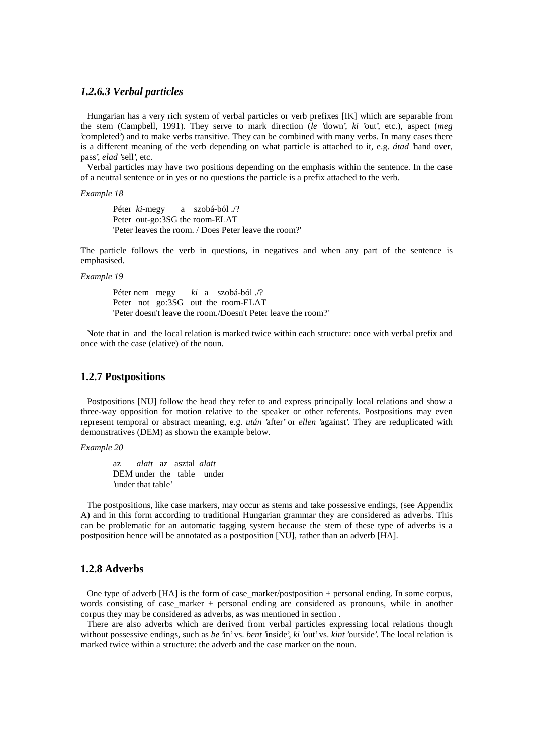### *1.2.6.3 Verbal particles*

Hungarian has a very rich system of verbal particles or verb prefixes [IK] which are separable from the stem (Campbell, 1991). They serve to mark direction (*le* 'down', *ki* 'out', etc.), aspect (*meg* 'completed') and to make verbs transitive. They can be combined with many verbs. In many cases there is a different meaning of the verb depending on what particle is attached to it, e.g. *átad* 'hand over, pass', *elad* 'sell', etc.

Verbal particles may have two positions depending on the emphasis within the sentence. In the case of a neutral sentence or in yes or no questions the particle is a prefix attached to the verb.

*Example 18*

Péter *ki*-megy a szobá-ból ./? Peter out-go:3SG the room-ELAT 'Peter leaves the room. / Does Peter leave the room?'

The particle follows the verb in questions, in negatives and when any part of the sentence is emphasised.

#### *Example 19*

Péter nem megy *ki* a szobá-ból ./? Peter not go:3SG out the room-ELAT 'Peter doesn't leave the room./Doesn't Peter leave the room?'

Note that in and the local relation is marked twice within each structure: once with verbal prefix and once with the case (elative) of the noun.

## **1.2.7 Postpositions**

Postpositions [NU] follow the head they refer to and express principally local relations and show a three-way opposition for motion relative to the speaker or other referents. Postpositions may even represent temporal or abstract meaning, e.g. *után* 'after' or *ellen* 'against'. They are reduplicated with demonstratives (DEM) as shown the example below.

*Example 20*

az *alatt* az asztal *alatt* DEM under the table under 'under that table'

The postpositions, like case markers, may occur as stems and take possessive endings, (see Appendix A) and in this form according to traditional Hungarian grammar they are considered as adverbs. This can be problematic for an automatic tagging system because the stem of these type of adverbs is a postposition hence will be annotated as a postposition [NU], rather than an adverb [HA].

## **1.2.8 Adverbs**

One type of adverb  $[HA]$  is the form of case marker/postposition + personal ending. In some corpus, words consisting of case marker + personal ending are considered as pronouns, while in another corpus they may be considered as adverbs, as was mentioned in section .

There are also adverbs which are derived from verbal particles expressing local relations though without possessive endings, such as *be* 'in'vs. *bent* 'inside', *ki* 'out'vs. *kint* 'outside'. The local relation is marked twice within a structure: the adverb and the case marker on the noun.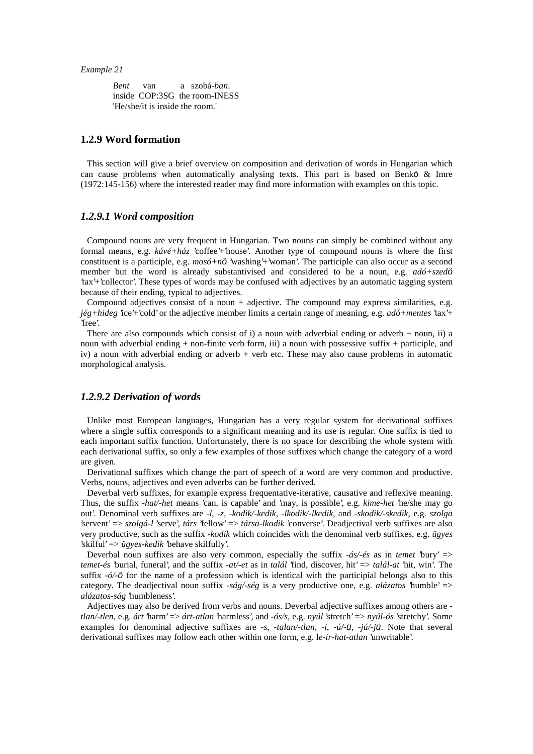*Example 21*

*Bent* van a szobá-*ban*. inside COP:3SG the room-INESS 'He/she/it is inside the room.'

## **1.2.9 Word formation**

This section will give a brief overview on composition and derivation of words in Hungarian which can cause problems when automatically analysing texts. This part is based on Benkö & Imre (1972:145-156) where the interested reader may find more information with examples on this topic.

### *1.2.9.1 Word composition*

Compound nouns are very frequent in Hungarian. Two nouns can simply be combined without any formal means, e.g. *kávé+ház* 'coffee'+'house'. Another type of compound nouns is where the first constituent is a participle, e.g. *mosó+n*ö 'washing'+'woman'. The participle can also occur as a second member but the word is already substantivised and considered to be a noun, e.g. *adó+szed*ö 'tax'+'collector'. These types of words may be confused with adjectives by an automatic tagging system because of their ending, typical to adjectives.

Compound adjectives consist of a noun + adjective. The compound may express similarities, e.g. *jég+hideg* 'ice'+'cold'or the adjective member limits a certain range of meaning, e.g. *adó+mentes* 'tax'+ 'free'.

There are also compounds which consist of i) a noun with adverbial ending or adverb + noun, ii) a noun with adverbial ending + non-finite verb form, iii) a noun with possessive suffix + participle, and iv) a noun with adverbial ending or adverb + verb etc. These may also cause problems in automatic morphological analysis.

## *1.2.9.2 Derivation of words*

Unlike most European languages, Hungarian has a very regular system for derivational suffixes where a single suffix corresponds to a significant meaning and its use is regular. One suffix is tied to each important suffix function. Unfortunately, there is no space for describing the whole system with each derivational suffix, so only a few examples of those suffixes which change the category of a word are given.

Derivational suffixes which change the part of speech of a word are very common and productive. Verbs, nouns, adjectives and even adverbs can be further derived.

Deverbal verb suffixes, for example express frequentative-iterative, causative and reflexive meaning. Thus, the suffix *-hat/-het* means 'can, is capable' and 'may, is possible', e.g. *kime-het* 'he/she may go out'. Denominal verb suffixes are *-l*, *-z, -kodik/-kedik*, *-lkodik/-lkedik*, and *-skodik/-skedik*, e.g. *szolga* 'servent'=> *szolgá-l* 'serve', *társ* 'fellow' => *társa-lkodik* 'converse'. Deadjectival verb suffixes are also very productive, such as the suffix *-kodik* which coincides with the denominal verb suffixes, e.g. *ügyes* 'skilful'=> *ügyes-kedik* 'behave skilfully'.

Deverbal noun suffixes are also very common, especially the suffix *-ás/-és* as in *temet* 'bury' => *temet-és* 'burial, funeral', and the suffix *-at/-et* as in *talál* 'find, discover, hit' => *talál-at* 'hit, win'. The suffix *-ó/-*ö for the name of a profession which is identical with the participial belongs also to this category. The deadjectival noun suffix *-ság/-ség* is a very productive one, e.g. *alázatos* 'humble' => *alázatos-ság* 'humbleness'.

Adjectives may also be derived from verbs and nouns. Deverbal adjective suffixes among others are  *tlan/-tlen*, e.g. *árt* 'harm'=> *árt-atlan* 'harmless', and *-ós/s*, e.g. *nyúl* 'stretch'=> *nyúl-ós* 'stretchy'. Some examples for denominal adjective suffixes are *-s*, *-talan/-tlan*, *-i*, *-ú/-*ü, *-jú/-j*ü. Note that several derivational suffixes may follow each other within one form, e.g. l*e-ír-hat-atlan* 'unwritable'.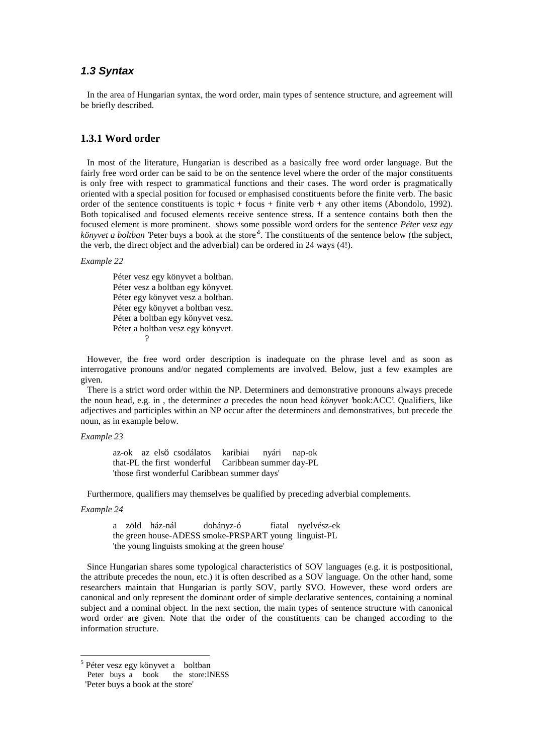## **1.3 Syntax**

In the area of Hungarian syntax, the word order, main types of sentence structure, and agreement will be briefly described.

### **1.3.1 Word order**

In most of the literature, Hungarian is described as a basically free word order language. But the fairly free word order can be said to be on the sentence level where the order of the major constituents is only free with respect to grammatical functions and their cases. The word order is pragmatically oriented with a special position for focused or emphasised constituents before the finite verb. The basic order of the sentence constituents is topic + focus + finite verb + any other items (Abondolo, 1992). Both topicalised and focused elements receive sentence stress. If a sentence contains both then the focused element is more prominent. shows some possible word orders for the sentence *Péter vesz egy* könyvet a boltban 'Peter buys a book at the store<sup>5</sup>. The constituents of the sentence below (the subject, the verb, the direct object and the adverbial) can be ordered in 24 ways (4!).

#### *Example 22*

Péter vesz egy könyvet a boltban. Péter vesz a boltban egy könyvet. Péter egy könyvet vesz a boltban. Péter egy könyvet a boltban vesz. Péter a boltban egy könyvet vesz. Péter a boltban vesz egy könyvet. ?

However, the free word order description is inadequate on the phrase level and as soon as interrogative pronouns and/or negated complements are involved. Below, just a few examples are given.

There is a strict word order within the NP. Determiners and demonstrative pronouns always precede the noun head, e.g. in , the determiner *a* precedes the noun head *könyvet* 'book:ACC'. Qualifiers, like adjectives and participles within an NP occur after the determiners and demonstratives, but precede the noun, as in example below.

#### *Example 23*

az-ok az elsö csodálatos karibiai nyári nap-ok that-PL the first wonderful Caribbean summer day-PL 'those first wonderful Caribbean summer days'

Furthermore, qualifiers may themselves be qualified by preceding adverbial complements.

#### *Example 24*

 $\overline{a}$ 

a zöld ház-nál dohányz-ó fiatal nyelvész-ek the green house-ADESS smoke-PRSPART young linguist-PL 'the young linguists smoking at the green house'

Since Hungarian shares some typological characteristics of SOV languages (e.g. it is postpositional, the attribute precedes the noun, etc.) it is often described as a SOV language. On the other hand, some researchers maintain that Hungarian is partly SOV, partly SVO. However, these word orders are canonical and only represent the dominant order of simple declarative sentences, containing a nominal subject and a nominal object. In the next section, the main types of sentence structure with canonical word order are given. Note that the order of the constituents can be changed according to the information structure.

<sup>&</sup>lt;sup>5</sup> Péter vesz egy könyvet a boltban Peter buys a book the store:INESS

<sup>&#</sup>x27;Peter buys a book at the store'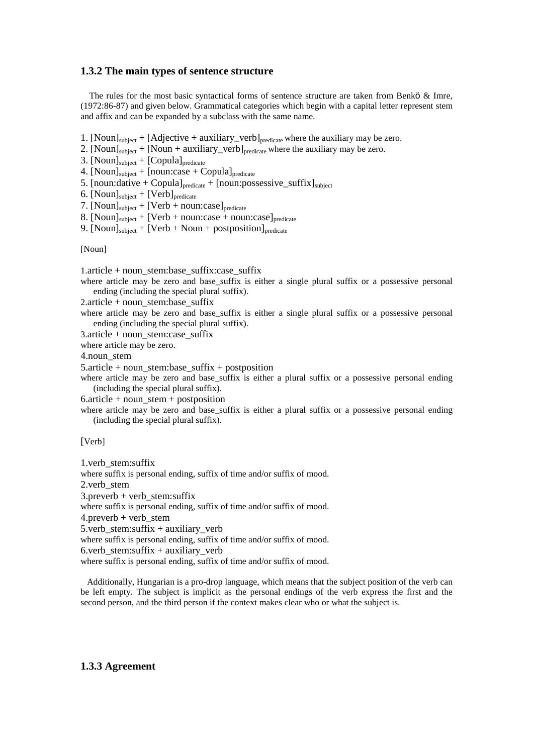### **1.3.2 The main types of sentence structure**

The rules for the most basic syntactical forms of sentence structure are taken from Benkö & Imre, (1972:86-87) and given below. Grammatical categories which begin with a capital letter represent stem and affix and can be expanded by a subclass with the same name.

- 1. [Noun]<sub>subject</sub> + [Adjective + auxiliary\_verb]<sub>predicate</sub> where the auxiliary may be zero.
- 2.  $[Noun]_{subject} + [Noun + auxiliary\_verb]_{predict}$  where the auxiliary may be zero.
- 3.  $[Noun]_{subject} + [Copula]_{predict}$
- 4.  $[Noun]_{subject} + [noun:case + Copula]_{predicate}$
- 5. [noun:dative + Copula]<sub>predicate</sub> + [noun:possessive\_suffix]<sub>subject</sub>
- 6.  $[Noun]_{subject} + [Verb]_{predicate}$
- 7.  $[Noun]_{subject} + [Verb + noun:case]_{predicate}$
- 8.  $[Noun]_{subject} + [Verb + noun:case + noun:case]_{predict}$
- 9.  $[Noun]_{subject} + [Verb + Noun + postposition]_{predict}$

[Noun]

1.article + noun\_stem:base\_suffix:case\_suffix

where article may be zero and base suffix is either a single plural suffix or a possessive personal ending (including the special plural suffix).

2.article + noun\_stem:base\_suffix

where article may be zero and base\_suffix is either a single plural suffix or a possessive personal ending (including the special plural suffix).

3.article + noun\_stem:case\_suffix

where article may be zero.

4.noun\_stem

5.article + noun\_stem:base\_suffix + postposition

where article may be zero and base suffix is either a plural suffix or a possessive personal ending (including the special plural suffix).

6.article + noun\_stem + postposition

where article may be zero and base suffix is either a plural suffix or a possessive personal ending (including the special plural suffix).

[Verb]

1.verb\_stem:suffix

where suffix is personal ending, suffix of time and/or suffix of mood.

2.verb stem

 $3.$ preverb + verb stem:suffix

where suffix is personal ending, suffix of time and/or suffix of mood.

 $4.$ preverb + verb stem

5.verb\_stem:suffix + auxiliary\_verb

where suffix is personal ending, suffix of time and/or suffix of mood.

6.verb stem:suffix + auxiliary verb

where suffix is personal ending, suffix of time and/or suffix of mood.

Additionally, Hungarian is a pro-drop language, which means that the subject position of the verb can be left empty. The subject is implicit as the personal endings of the verb express the first and the second person, and the third person if the context makes clear who or what the subject is.

### **1.3.3 Agreement**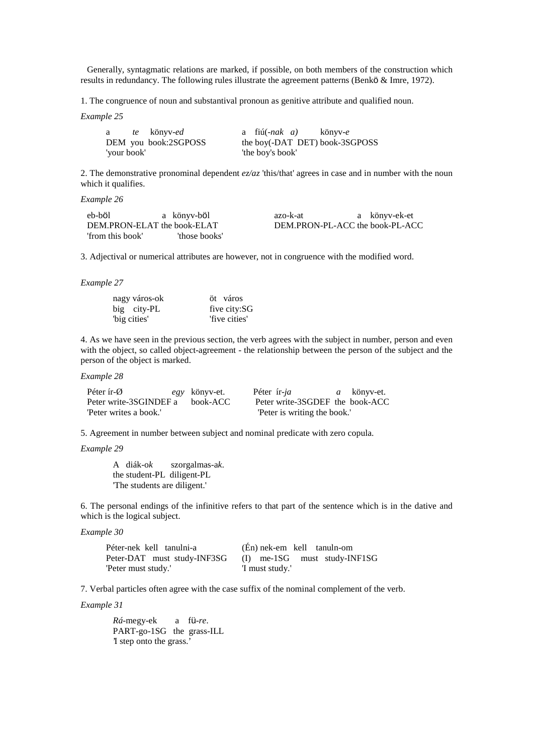Generally, syntagmatic relations are marked, if possible, on both members of the construction which results in redundancy. The following rules illustrate the agreement patterns (Benkö & Imre, 1972).

1. The congruence of noun and substantival pronoun as genitive attribute and qualified noun.

*Example 25*

| a <i>te</i> könyv- <i>ed</i> | a fiú(-nak a)<br>könyv-e       |
|------------------------------|--------------------------------|
| DEM you book:2SGPOSS         | the boy(-DAT DET) book-3SGPOSS |
| 'your book'                  | 'the boy's book'               |

2. The demonstrative pronominal dependent *ez/az* 'this/that' agrees in case and in number with the noun which it qualifies.

*Example 26*

| eb-böl                      | a könyv-böl   | azo-k-at                        | a könyv-ek-et |
|-----------------------------|---------------|---------------------------------|---------------|
| DEM.PRON-ELAT the book-ELAT |               | DEM.PRON-PL-ACC the book-PL-ACC |               |
| 'from this book'            | 'those books' |                                 |               |

3. Adjectival or numerical attributes are however, not in congruence with the modified word.

*Example 27*

| nagy város-ok | öt város      |
|---------------|---------------|
| big city-PL   | five city:SG  |
| "big cities"  | 'five cities' |

4. As we have seen in the previous section, the verb agrees with the subject in number, person and even with the object, so called object-agreement - the relationship between the person of the subject and the person of the object is marked.

*Example 28*

| Péter ír- $\emptyset$           | egy könyv-et. | Péter ír-ja                     | <i>a</i> könyv-et. |
|---------------------------------|---------------|---------------------------------|--------------------|
| Peter write-3SGINDEF a book-ACC |               | Peter write-3SGDEF the book-ACC |                    |
| "Peter writes a book."          |               | "Peter is writing the book."    |                    |

5. Agreement in number between subject and nominal predicate with zero copula.

*Example 29*

A diák-o*k* szorgalmas-a*k*. the student-PL diligent-PL 'The students are diligent.'

6. The personal endings of the infinitive refers to that part of the sentence which is in the dative and which is the logical subject.

*Example 30*

| Péter-nek kell tanulni-a    | $(\hat{E}n)$ nek-em kell tanuln-om |
|-----------------------------|------------------------------------|
| Peter-DAT must study-INF3SG | $(I)$ me-1SG must study-INF1SG     |
| "Peter must study."         | "I must study."                    |

7. Verbal particles often agree with the case suffix of the nominal complement of the verb.

*Example 31*

*Rá*-megy-ek a fü-*re*. PART-go-1SG the grass-ILL 'I step onto the grass.'